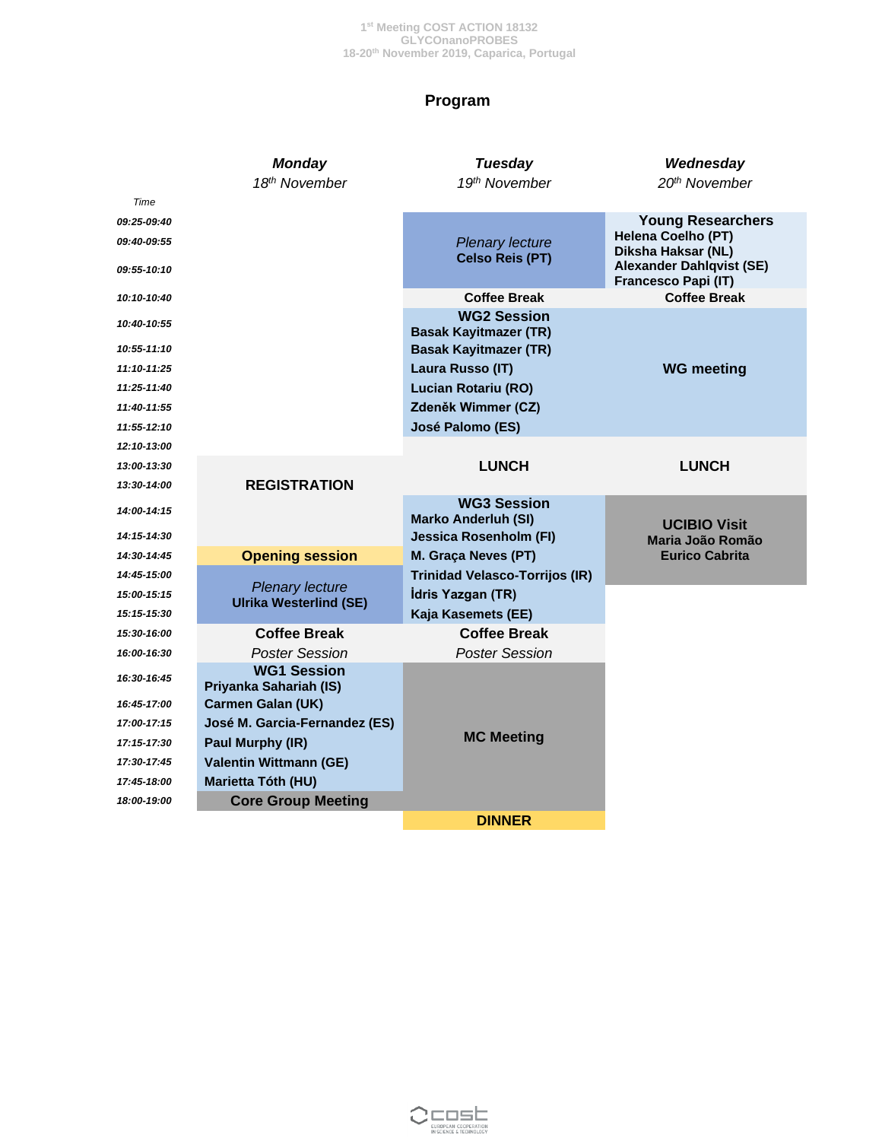### **Program**

|                                           | <b>Monday</b><br>18th November               | Tuesday<br>19th November                                    | Wednesday<br>20th November                                                                                                     |
|-------------------------------------------|----------------------------------------------|-------------------------------------------------------------|--------------------------------------------------------------------------------------------------------------------------------|
| Time                                      |                                              |                                                             |                                                                                                                                |
| 09:25-09:40<br>09:40-09:55<br>09:55-10:10 |                                              | <b>Plenary lecture</b><br><b>Celso Reis (PT)</b>            | <b>Young Researchers</b><br>Helena Coelho (PT)<br>Diksha Haksar (NL)<br><b>Alexander Dahlqvist (SE)</b><br>Francesco Papi (IT) |
| 10:10-10:40                               |                                              | <b>Coffee Break</b>                                         | <b>Coffee Break</b>                                                                                                            |
| 10:40-10:55                               |                                              | <b>WG2 Session</b><br><b>Basak Kayitmazer (TR)</b>          |                                                                                                                                |
| 10:55-11:10                               |                                              | <b>Basak Kayitmazer (TR)</b>                                |                                                                                                                                |
| 11:10-11:25                               |                                              | Laura Russo (IT)                                            | <b>WG meeting</b>                                                                                                              |
| 11:25-11:40                               |                                              | <b>Lucian Rotariu (RO)</b>                                  |                                                                                                                                |
| 11:40-11:55                               |                                              | Zdeněk Wimmer (CZ)                                          |                                                                                                                                |
| 11:55-12:10                               |                                              | José Palomo (ES)                                            |                                                                                                                                |
| 12:10-13:00                               |                                              |                                                             |                                                                                                                                |
| 13:00-13:30                               |                                              | <b>LUNCH</b>                                                | <b>LUNCH</b>                                                                                                                   |
| 13:30-14:00                               | <b>REGISTRATION</b>                          | <b>WG3 Session</b>                                          |                                                                                                                                |
| 14:00-14:15<br>14:15-14:30                |                                              | <b>Marko Anderluh (SI)</b><br><b>Jessica Rosenholm (FI)</b> | <b>UCIBIO Visit</b>                                                                                                            |
| 14:30-14:45                               | <b>Opening session</b>                       | M. Graça Neves (PT)                                         | Maria João Romão<br><b>Eurico Cabrita</b>                                                                                      |
| 14:45-15:00                               |                                              | <b>Trinidad Velasco-Torrijos (IR)</b>                       |                                                                                                                                |
| 15:00-15:15                               | <b>Plenary lecture</b>                       | İdris Yazgan (TR)                                           |                                                                                                                                |
| 15:15-15:30                               | <b>Ulrika Westerlind (SE)</b>                | Kaja Kasemets (EE)                                          |                                                                                                                                |
| 15:30-16:00                               | <b>Coffee Break</b>                          | <b>Coffee Break</b>                                         |                                                                                                                                |
| 16:00-16:30                               | <b>Poster Session</b>                        | <b>Poster Session</b>                                       |                                                                                                                                |
| 16:30-16:45                               | <b>WG1 Session</b><br>Priyanka Sahariah (IS) |                                                             |                                                                                                                                |
| 16:45-17:00                               | <b>Carmen Galan (UK)</b>                     |                                                             |                                                                                                                                |
| 17:00-17:15                               | José M. Garcia-Fernandez (ES)                |                                                             |                                                                                                                                |
| 17:15-17:30                               | Paul Murphy (IR)                             | <b>MC Meeting</b>                                           |                                                                                                                                |
| 17:30-17:45                               | <b>Valentin Wittmann (GE)</b>                |                                                             |                                                                                                                                |
| 17:45-18:00                               | Marietta Tóth (HU)                           |                                                             |                                                                                                                                |
| 18:00-19:00                               | <b>Core Group Meeting</b>                    |                                                             |                                                                                                                                |
|                                           |                                              | <b>DINNER</b>                                               |                                                                                                                                |

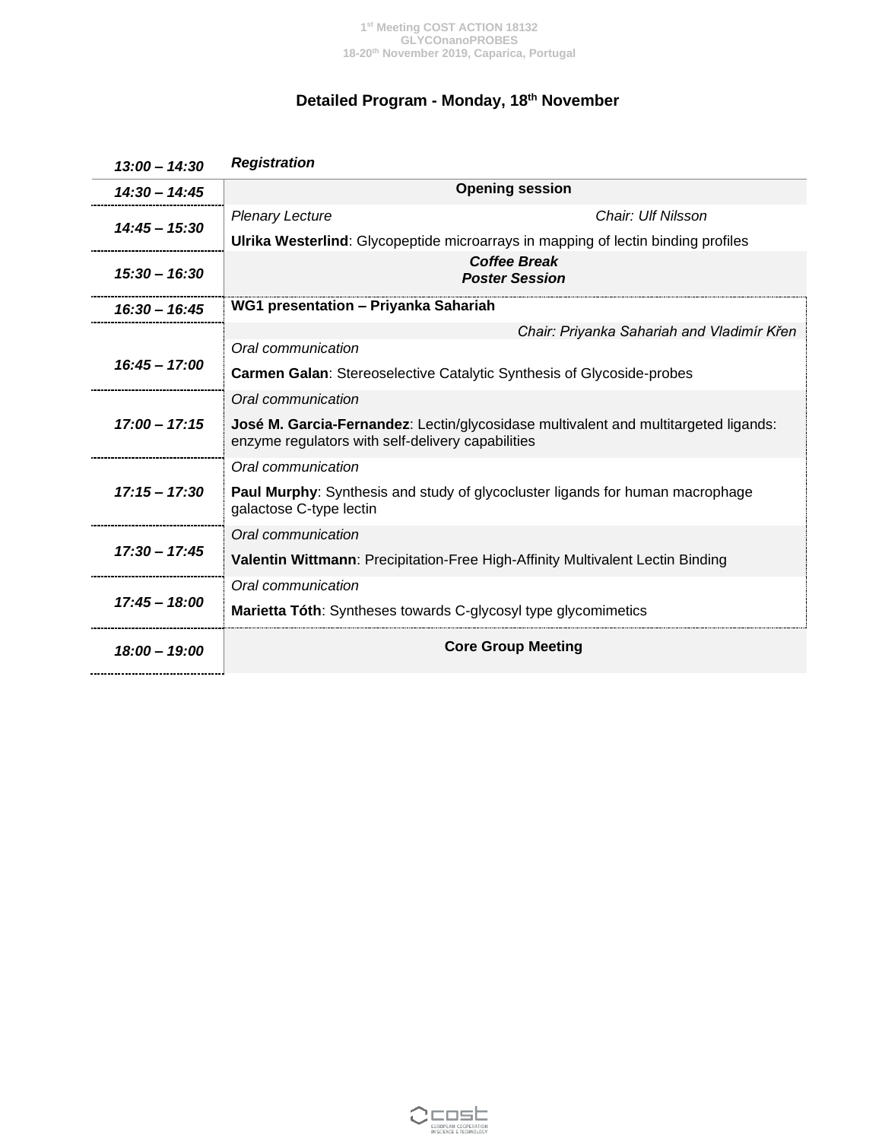# **Detailed Program - Monday, 18th November**

| $13:00 - 14:30$ | <b>Registration</b>                                                                                                                             |  |  |
|-----------------|-------------------------------------------------------------------------------------------------------------------------------------------------|--|--|
| $14:30 - 14:45$ | <b>Opening session</b>                                                                                                                          |  |  |
| $14:45 - 15:30$ | Chair: Ulf Nilsson<br><b>Plenary Lecture</b>                                                                                                    |  |  |
|                 | <b>Ulrika Westerlind:</b> Glycopeptide microarrays in mapping of lectin binding profiles                                                        |  |  |
| $15:30 - 16:30$ | <b>Coffee Break</b><br><b>Poster Session</b>                                                                                                    |  |  |
| $16:30 - 16:45$ | WG1 presentation - Priyanka Sahariah                                                                                                            |  |  |
|                 | Chair: Priyanka Sahariah and Vladimír Křen                                                                                                      |  |  |
| $16:45 - 17:00$ | Oral communication                                                                                                                              |  |  |
|                 | <b>Carmen Galan: Stereoselective Catalytic Synthesis of Glycoside-probes</b>                                                                    |  |  |
|                 | Oral communication                                                                                                                              |  |  |
| $17:00 - 17:15$ | <b>José M. Garcia-Fernandez:</b> Lectin/glycosidase multivalent and multitargeted ligands:<br>enzyme regulators with self-delivery capabilities |  |  |
|                 | Oral communication                                                                                                                              |  |  |
| $17:15 - 17:30$ | <b>Paul Murphy:</b> Synthesis and study of glycocluster ligands for human macrophage<br>galactose C-type lectin                                 |  |  |
|                 | Oral communication                                                                                                                              |  |  |
| $17:30 - 17:45$ | Valentin Wittmann: Precipitation-Free High-Affinity Multivalent Lectin Binding                                                                  |  |  |
|                 | Oral communication                                                                                                                              |  |  |
| $17:45 - 18:00$ | Marietta Tóth: Syntheses towards C-glycosyl type glycomimetics                                                                                  |  |  |
| 18:00 - 19:00   | <b>Core Group Meeting</b>                                                                                                                       |  |  |

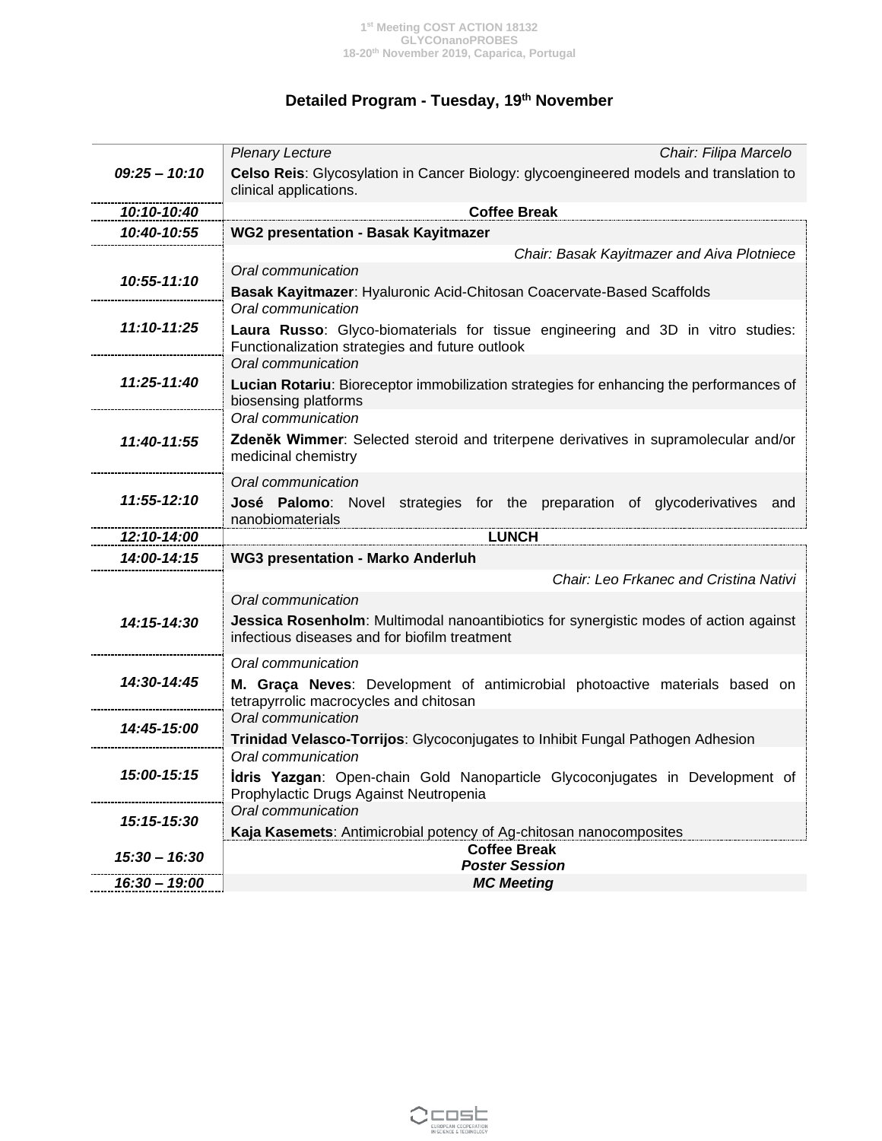# **Detailed Program - Tuesday, 19th November**

|                 | <b>Plenary Lecture</b><br>Chair: Filipa Marcelo                                                                  |  |  |
|-----------------|------------------------------------------------------------------------------------------------------------------|--|--|
| $09:25 - 10:10$ | Celso Reis: Glycosylation in Cancer Biology: glycoengineered models and translation to<br>clinical applications. |  |  |
| 10:10-10:40     | <b>Coffee Break</b>                                                                                              |  |  |
| 10:40-10:55     | <b>WG2 presentation - Basak Kayitmazer</b>                                                                       |  |  |
|                 | Chair: Basak Kayitmazer and Aiva Plotniece                                                                       |  |  |
| 10:55-11:10     | Oral communication                                                                                               |  |  |
|                 | Basak Kayitmazer: Hyaluronic Acid-Chitosan Coacervate-Based Scaffolds                                            |  |  |
|                 | Oral communication                                                                                               |  |  |
| 11:10-11:25     | Laura Russo: Glyco-biomaterials for tissue engineering and 3D in vitro studies:                                  |  |  |
|                 | Functionalization strategies and future outlook                                                                  |  |  |
| 11:25-11:40     | Oral communication                                                                                               |  |  |
|                 | Lucian Rotariu: Bioreceptor immobilization strategies for enhancing the performances of<br>biosensing platforms  |  |  |
|                 | Oral communication                                                                                               |  |  |
| 11:40-11:55     | Zdeněk Wimmer: Selected steroid and triterpene derivatives in supramolecular and/or                              |  |  |
|                 | medicinal chemistry                                                                                              |  |  |
|                 | Oral communication                                                                                               |  |  |
| 11:55-12:10     | José Palomo: Novel strategies for the preparation of glycoderivatives and                                        |  |  |
|                 | nanobiomaterials                                                                                                 |  |  |
| 12:10-14:00     | <b>LUNCH</b>                                                                                                     |  |  |
| 14:00-14:15     | <b>WG3 presentation - Marko Anderluh</b>                                                                         |  |  |
|                 | Chair: Leo Frkanec and Cristina Nativi                                                                           |  |  |
|                 |                                                                                                                  |  |  |
|                 | Oral communication                                                                                               |  |  |
| 14:15-14:30     | Jessica Rosenholm: Multimodal nanoantibiotics for synergistic modes of action against                            |  |  |
|                 | infectious diseases and for biofilm treatment                                                                    |  |  |
|                 | Oral communication                                                                                               |  |  |
| 14:30-14:45     | M. Graça Neves: Development of antimicrobial photoactive materials based on                                      |  |  |
|                 | tetrapyrrolic macrocycles and chitosan                                                                           |  |  |
|                 | Oral communication                                                                                               |  |  |
| 14:45-15:00     | Trinidad Velasco-Torrijos: Glycoconjugates to Inhibit Fungal Pathogen Adhesion                                   |  |  |
|                 | Oral communication                                                                                               |  |  |
| 15:00-15:15     | <b>Idris Yazgan:</b> Open-chain Gold Nanoparticle Glycoconjugates in Development of                              |  |  |
|                 | Prophylactic Drugs Against Neutropenia                                                                           |  |  |
| 15:15-15:30     | Oral communication                                                                                               |  |  |
|                 | Kaja Kasemets: Antimicrobial potency of Ag-chitosan nanocomposites<br><b>Coffee Break</b>                        |  |  |
| 15:30 – 16:30   | <b>Poster Session</b>                                                                                            |  |  |

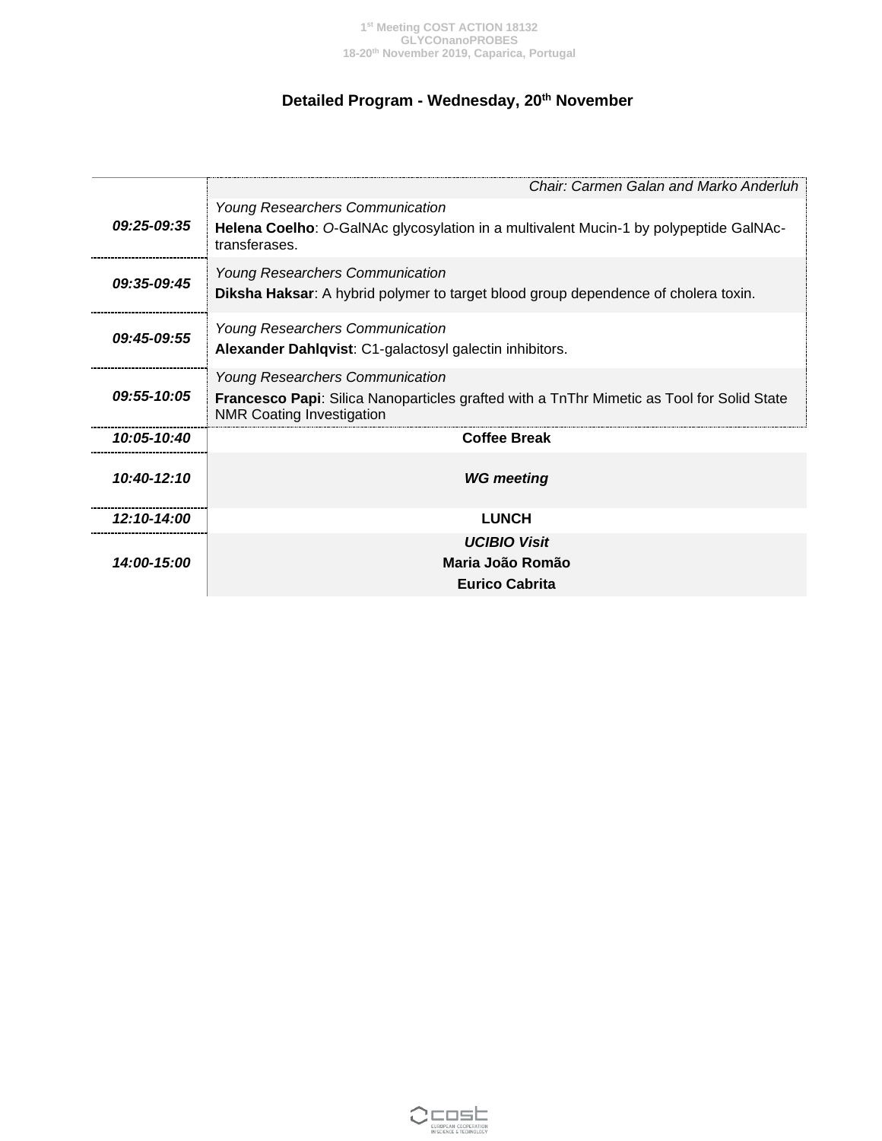# **Detailed Program - Wednesday, 20th November**

|                           | Chair: Carmen Galan and Marko Anderluh                                                                                               |  |  |
|---------------------------|--------------------------------------------------------------------------------------------------------------------------------------|--|--|
|                           | <b>Young Researchers Communication</b>                                                                                               |  |  |
| <i><b>09:25-09:35</b></i> | Helena Coelho: O-GalNAc glycosylation in a multivalent Mucin-1 by polypeptide GalNAc-<br>transferases.                               |  |  |
| 09:35-09:45               | <b>Young Researchers Communication</b>                                                                                               |  |  |
|                           | Diksha Haksar: A hybrid polymer to target blood group dependence of cholera toxin.                                                   |  |  |
| 09:45-09:55               | <b>Young Researchers Communication</b>                                                                                               |  |  |
|                           | Alexander Dahlqvist: C1-galactosyl galectin inhibitors.                                                                              |  |  |
| 09:55-10:05               | <b>Young Researchers Communication</b>                                                                                               |  |  |
|                           | <b>Francesco Papi:</b> Silica Nanoparticles grafted with a TnThr Mimetic as Tool for Solid State<br><b>NMR Coating Investigation</b> |  |  |
| 10:05-10:40               | <b>Coffee Break</b>                                                                                                                  |  |  |
| 10:40-12:10               | <b>WG</b> meeting                                                                                                                    |  |  |
|                           |                                                                                                                                      |  |  |
| 12:10-14:00               | <b>LUNCH</b>                                                                                                                         |  |  |
| 14:00-15:00               | <b>UCIBIO Visit</b>                                                                                                                  |  |  |
|                           | Maria João Romão                                                                                                                     |  |  |
|                           | <b>Eurico Cabrita</b>                                                                                                                |  |  |

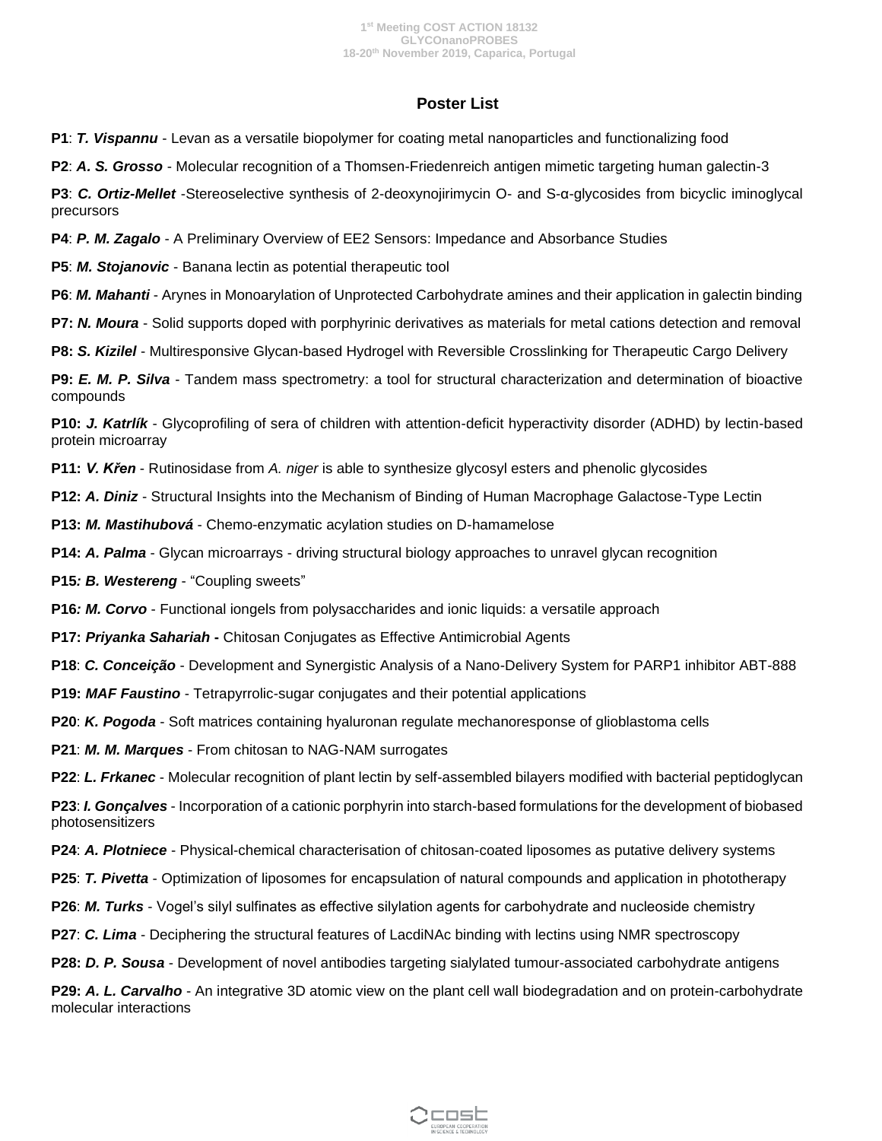### **Poster List**

**P1**: *T. Vispannu* - Levan as a versatile biopolymer for coating metal nanoparticles and functionalizing food

**P2**: *A. S. Grosso* - Molecular recognition of a Thomsen-Friedenreich antigen mimetic targeting human galectin-3

**P3**: *C. Ortiz-Mellet* -Stereoselective synthesis of 2-deoxynojirimycin O- and S-α-glycosides from bicyclic iminoglycal precursors

**P4**: *P. M. Zagalo* - A Preliminary Overview of EE2 Sensors: Impedance and Absorbance Studies

**P5**: *M. Stojanovic* - Banana lectin as potential therapeutic tool

**P6**: *M. Mahanti* - Arynes in Monoarylation of Unprotected Carbohydrate amines and their application in galectin binding

**P7:** *N. Moura* - Solid supports doped with porphyrinic derivatives as materials for metal cations detection and removal

**P8:** *S. Kizilel* - Multiresponsive Glycan-based Hydrogel with Reversible Crosslinking for Therapeutic Cargo Delivery

**P9:** *E. M. P. Silva* - Tandem mass spectrometry: a tool for structural characterization and determination of bioactive compounds

**P10:** *J. Katrlík* - Glycoprofiling of sera of children with attention-deficit hyperactivity disorder (ADHD) by lectin-based protein microarray

**P11:** *V. Křen* - Rutinosidase from *A. niger* is able to synthesize glycosyl esters and phenolic glycosides

**P12:** *A. Diniz* - Structural Insights into the Mechanism of Binding of Human Macrophage Galactose-Type Lectin

**P13:** *M. Mastihubová* - Chemo-enzymatic acylation studies on D-hamamelose

**P14:** *A. Palma* - Glycan microarrays - driving structural biology approaches to unravel glycan recognition

**P15***: B. Westereng* - "Coupling sweets"

**P16***: M. Corvo* - Functional iongels from polysaccharides and ionic liquids: a versatile approach

**P17:** *Priyanka Sahariah* **-** Chitosan Conjugates as Effective Antimicrobial Agents

**P18**: *C. Conceição* - Development and Synergistic Analysis of a Nano-Delivery System for PARP1 inhibitor ABT-888

**P19:** *MAF Faustino* - Tetrapyrrolic-sugar conjugates and their potential applications

**P20**: *K. Pogoda* - Soft matrices containing hyaluronan regulate mechanoresponse of glioblastoma cells

**P21**: *M. M. Marques* - From chitosan to NAG-NAM surrogates

**P22**: *L. Frkanec* - Molecular recognition of plant lectin by self-assembled bilayers modified with bacterial peptidoglycan

**P23**: *I. Gonçalves* - Incorporation of a cationic porphyrin into starch-based formulations for the development of biobased photosensitizers

**P24**: *A. Plotniece* - Physical-chemical characterisation of chitosan-coated liposomes as putative delivery systems

**P25**: *T. Pivetta* - Optimization of liposomes for encapsulation of natural compounds and application in phototherapy

**P26**: *M. Turks* - Vogel's silyl sulfinates as effective silylation agents for carbohydrate and nucleoside chemistry

**P27**: *C. Lima* - Deciphering the structural features of LacdiNAc binding with lectins using NMR spectroscopy

**P28:** *D. P. Sousa* - Development of novel antibodies targeting sialylated tumour-associated carbohydrate antigens

**P29:** *A. L. Carvalho* - An integrative 3D atomic view on the plant cell wall biodegradation and on protein-carbohydrate molecular interactions

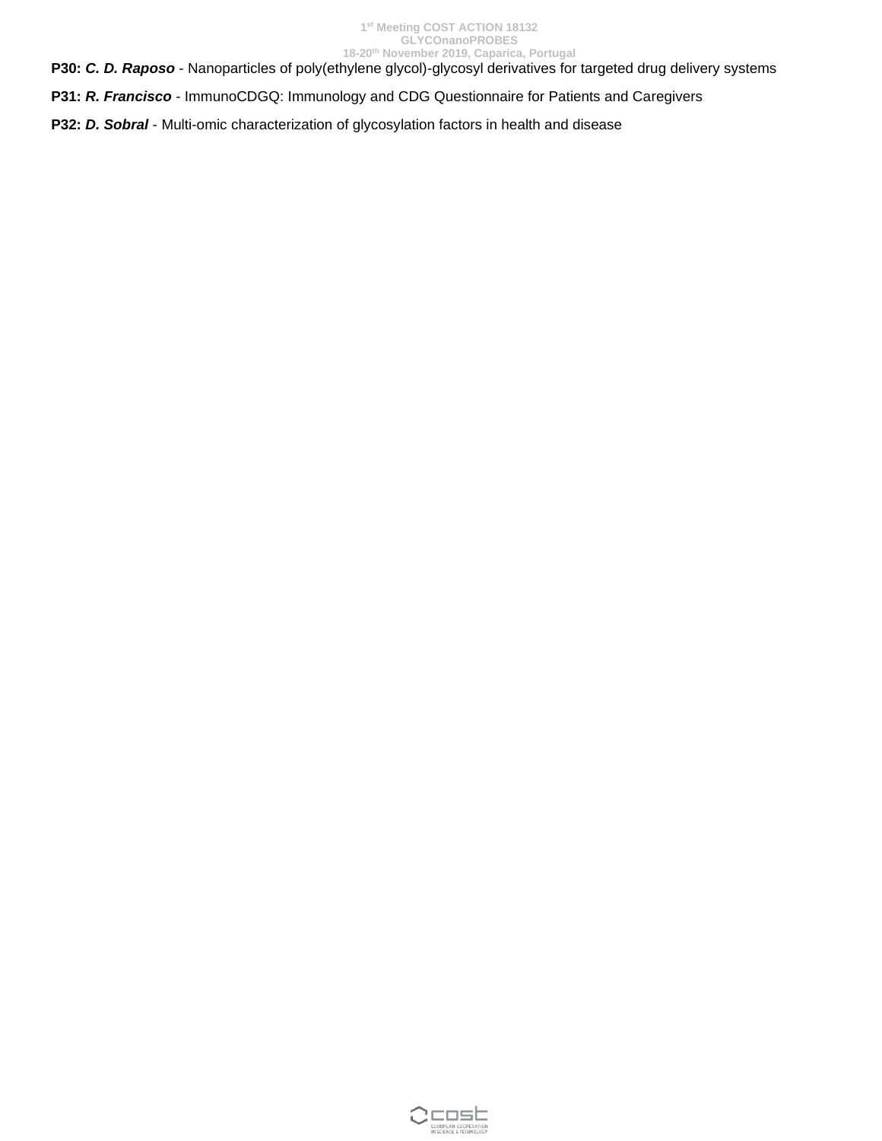**P30:** *C. D. Raposo* - Nanoparticles of poly(ethylene glycol)-glycosyl derivatives for targeted drug delivery systems

**P31:** *R. Francisco* - ImmunoCDGQ: Immunology and CDG Questionnaire for Patients and Caregivers

**P32:** *D. Sobral* - Multi-omic characterization of glycosylation factors in health and disease